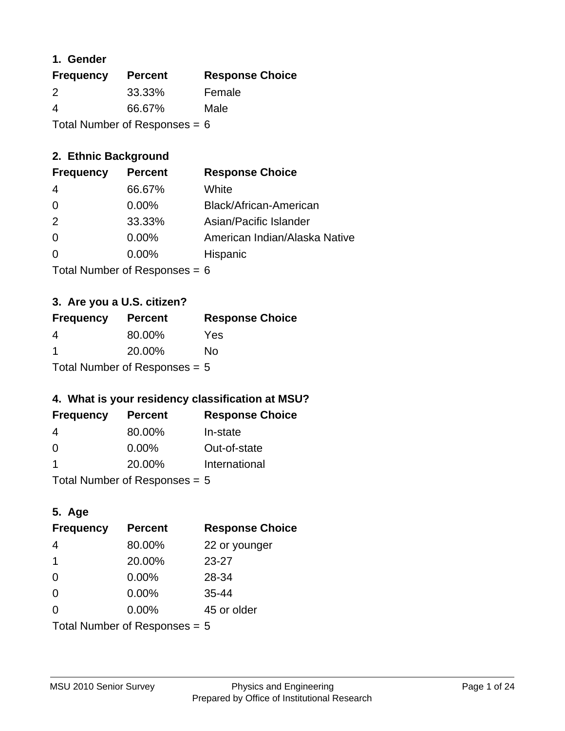#### **1. Gender**

| <b>Frequency</b>                | <b>Percent</b> | <b>Response Choice</b> |
|---------------------------------|----------------|------------------------|
| 2                               | 33.33%         | Female                 |
| 4                               | 66.67%         | Male                   |
| Total Number of Responses = $6$ |                |                        |

## **2. Ethnic Background**

| <b>Frequency</b> | <b>Percent</b> | <b>Response Choice</b>        |
|------------------|----------------|-------------------------------|
| 4                | 66.67%         | White                         |
| $\Omega$         | $0.00\%$       | Black/African-American        |
| 2                | 33.33%         | Asian/Pacific Islander        |
| $\Omega$         | 0.00%          | American Indian/Alaska Native |
|                  | $0.00\%$       | Hispanic                      |
|                  |                |                               |

Total Number of Responses = 6

## **3. Are you a U.S. citizen?**

| <b>Frequency</b>                | <b>Percent</b> | <b>Response Choice</b> |
|---------------------------------|----------------|------------------------|
| 4                               | 80.00%         | Yes                    |
| -1                              | 20.00%         | Nο                     |
| Total Number of Responses $= 5$ |                |                        |

## **4. What is your residency classification at MSU?**

| <b>Frequency</b> | <b>Percent</b> | <b>Response Choice</b> |
|------------------|----------------|------------------------|
| -4               | 80.00%         | In-state               |
| -0               | $0.00\%$       | Out-of-state           |
| -1               | 20.00%         | International          |
|                  |                |                        |

Total Number of Responses = 5

## **5. Age**

| <b>Frequency</b>                | <b>Percent</b> | <b>Response Choice</b> |
|---------------------------------|----------------|------------------------|
| $\overline{4}$                  | 80.00%         | 22 or younger          |
| $\mathbf 1$                     | 20.00%         | $23 - 27$              |
| $\Omega$                        | 0.00%          | 28-34                  |
| $\Omega$                        | 0.00%          | $35 - 44$              |
| $\Omega$                        | 0.00%          | 45 or older            |
| Total Number of Responses $= 5$ |                |                        |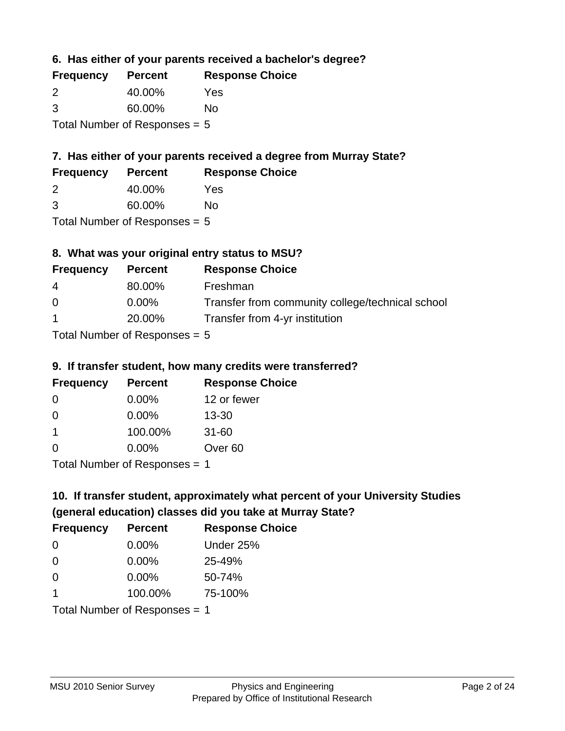**6. Has either of your parents received a bachelor's degree?**

| <b>Frequency</b>                | <b>Percent</b> | <b>Response Choice</b> |
|---------------------------------|----------------|------------------------|
| 2                               | 40.00%         | Yes                    |
| 3                               | 60.00%         | No                     |
| Total Number of Responses $= 5$ |                |                        |

## **7. Has either of your parents received a degree from Murray State?**

| <b>Frequency</b> | <b>Percent</b> | <b>Response Choice</b> |
|------------------|----------------|------------------------|
|                  | 40.00%         | Yes                    |

| 3 | 60.00% | No |
|---|--------|----|

Total Number of Responses = 5

## **8. What was your original entry status to MSU?**

| <b>Frequency</b> | <b>Percent</b>                   | <b>Response Choice</b>                           |
|------------------|----------------------------------|--------------------------------------------------|
| 4                | 80.00%                           | Freshman                                         |
| $\Omega$         | $0.00\%$                         | Transfer from community college/technical school |
| $\mathbf{1}$     | 20.00%                           | Transfer from 4-yr institution                   |
|                  | Tatal Mussolian of Davon concern |                                                  |

Total Number of Responses = 5

#### **9. If transfer student, how many credits were transferred?**

| <b>Frequency</b>               | <b>Percent</b> | <b>Response Choice</b> |
|--------------------------------|----------------|------------------------|
| -0                             | $0.00\%$       | 12 or fewer            |
| 0                              | $0.00\%$       | $13 - 30$              |
| 1                              | 100.00%        | $31 - 60$              |
| $\Omega$                       | $0.00\%$       | Over <sub>60</sub>     |
| Total Number of Decononces - 1 |                |                        |

Total Number of Responses = 1

# **10. If transfer student, approximately what percent of your University Studies (general education) classes did you take at Murray State?**

| <b>Frequency</b>                | <b>Percent</b> | <b>Response Choice</b> |
|---------------------------------|----------------|------------------------|
| 0                               | $0.00\%$       | Under 25%              |
| $\Omega$                        | $0.00\%$       | 25-49%                 |
| $\Omega$                        | 0.00%          | 50-74%                 |
| $\blacktriangleleft$            | 100.00%        | 75-100%                |
| Total Number of Responses $= 1$ |                |                        |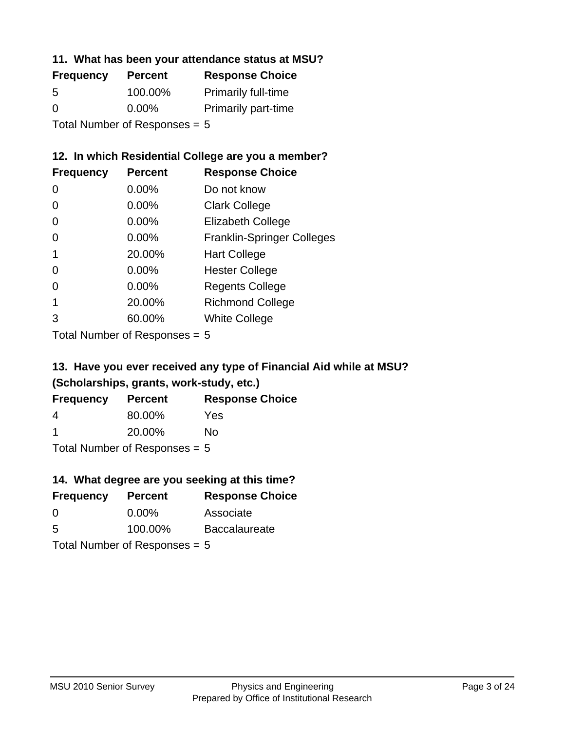#### **11. What has been your attendance status at MSU?**

| <b>Frequency</b>                | <b>Percent</b> | <b>Response Choice</b>     |
|---------------------------------|----------------|----------------------------|
| 5                               | 100.00%        | <b>Primarily full-time</b> |
| $\Omega$                        | $0.00\%$       | <b>Primarily part-time</b> |
| Total Number of Responses = $5$ |                |                            |

## **12. In which Residential College are you a member?**

| <b>Frequency</b> | <b>Percent</b> | <b>Response Choice</b>            |
|------------------|----------------|-----------------------------------|
| 0                | $0.00\%$       | Do not know                       |
| 0                | $0.00\%$       | <b>Clark College</b>              |
| 0                | 0.00%          | <b>Elizabeth College</b>          |
| 0                | $0.00\%$       | <b>Franklin-Springer Colleges</b> |
|                  | 20.00%         | <b>Hart College</b>               |
| 0                | 0.00%          | <b>Hester College</b>             |
| O                | 0.00%          | <b>Regents College</b>            |
|                  | 20.00%         | <b>Richmond College</b>           |
| 3                | 60.00%         | <b>White College</b>              |

Total Number of Responses = 5

## **13. Have you ever received any type of Financial Aid while at MSU? (Scholarships, grants, work-study, etc.)**

| <b>Frequency</b> | <b>Percent</b>                  | <b>Response Choice</b> |
|------------------|---------------------------------|------------------------|
| 4                | 80.00%                          | Yes                    |
| -1               | 20.00%                          | Nο                     |
|                  | Total Number of Responses $= 5$ |                        |

**14. What degree are you seeking at this time?**

| <b>Frequency</b>                | <b>Percent</b> | <b>Response Choice</b> |
|---------------------------------|----------------|------------------------|
| 0                               | $0.00\%$       | Associate              |
| 5                               | 100.00%        | <b>Baccalaureate</b>   |
| Total Number of Responses $= 5$ |                |                        |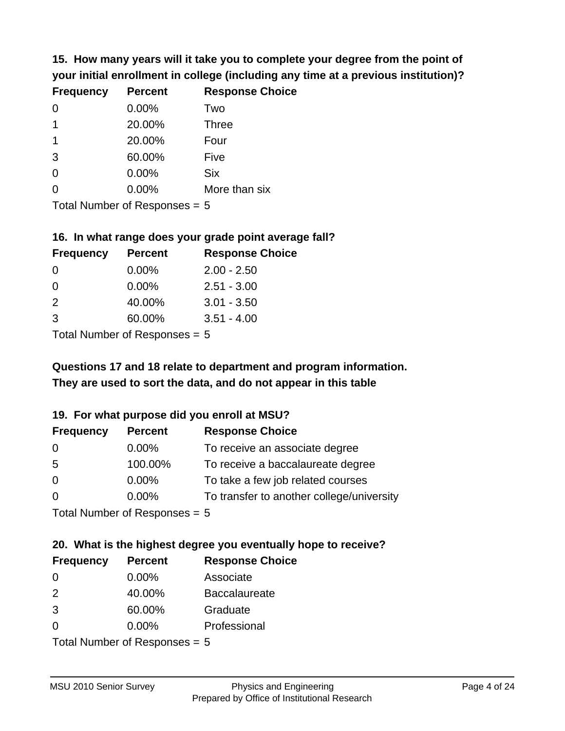**15. How many years will it take you to complete your degree from the point of your initial enrollment in college (including any time at a previous institution)?**

| <b>Frequency</b> | <b>Percent</b> | <b>Response Choice</b> |
|------------------|----------------|------------------------|
| $\Omega$         | 0.00%          | Two                    |
| 1                | 20.00%         | <b>Three</b>           |
| 1                | 20.00%         | Four                   |
| 3                | 60.00%         | Five                   |
| 0                | 0.00%          | <b>Six</b>             |
| 0                | 0.00%          | More than six          |
|                  |                |                        |

Total Number of Responses = 5

#### **16. In what range does your grade point average fall?**

| <b>Frequency</b> | <b>Percent</b> | <b>Response Choice</b> |
|------------------|----------------|------------------------|
| O                | $0.00\%$       | $2.00 - 2.50$          |
| 0                | 0.00%          | $2.51 - 3.00$          |
| $\mathcal{P}$    | 40.00%         | $3.01 - 3.50$          |
| 3                | 60.00%         | $3.51 - 4.00$          |
|                  |                |                        |

Total Number of Responses = 5

## **They are used to sort the data, and do not appear in this table Questions 17 and 18 relate to department and program information.**

#### **19. For what purpose did you enroll at MSU?**

| <b>Frequency</b>            | <b>Percent</b> | <b>Response Choice</b>                    |
|-----------------------------|----------------|-------------------------------------------|
| 0                           | $0.00\%$       | To receive an associate degree            |
| 5                           | 100.00%        | To receive a baccalaureate degree         |
| $\overline{0}$              | $0.00\%$       | To take a few job related courses         |
| $\Omega$                    | 0.00%          | To transfer to another college/university |
| Total Number of Desponses E |                |                                           |

I otal Number of Responses  $= 5$ 

# **20. What is the highest degree you eventually hope to receive?**

| <b>Frequency</b> | <b>Percent</b>             | <b>Response Choice</b> |
|------------------|----------------------------|------------------------|
| 0                | $0.00\%$                   | Associate              |
| 2                | 40.00%                     | <b>Baccalaureate</b>   |
| 3                | 60.00%                     | Graduate               |
| $\Omega$         | $0.00\%$                   | Professional           |
|                  | Total Number of Deepersoon |                        |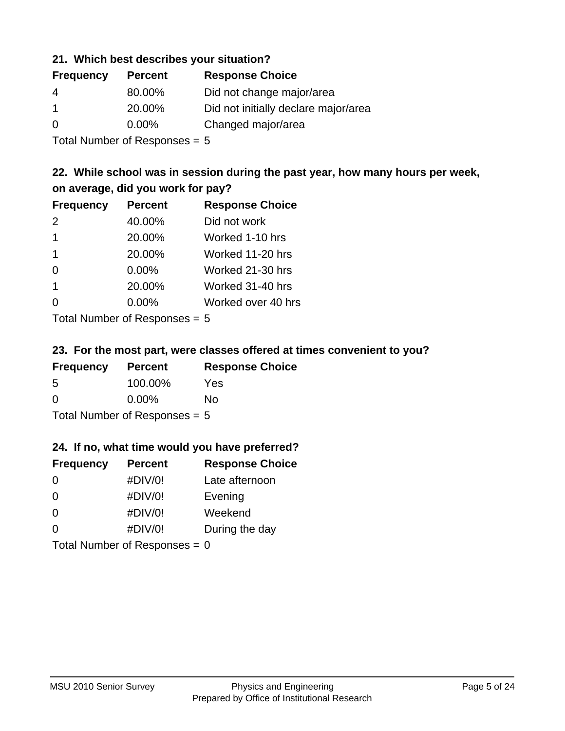#### **21. Which best describes your situation?**

| <b>Frequency</b> | <b>Percent</b> | <b>Response Choice</b>               |
|------------------|----------------|--------------------------------------|
| -4               | 80.00%         | Did not change major/area            |
|                  | 20.00%         | Did not initially declare major/area |
| $\Omega$         | $0.00\%$       | Changed major/area                   |

Total Number of Responses = 5

## **22. While school was in session during the past year, how many hours per week, on average, did you work for pay?**

| <b>Frequency</b> | <b>Percent</b> | <b>Response Choice</b> |
|------------------|----------------|------------------------|
| $\mathcal{P}$    | 40.00%         | Did not work           |
| $\mathbf 1$      | 20.00%         | Worked 1-10 hrs        |
| $\mathbf 1$      | 20.00%         | Worked 11-20 hrs       |
| $\Omega$         | $0.00\%$       | Worked 21-30 hrs       |
| -1               | 20.00%         | Worked 31-40 hrs       |
| $\Omega$         | 0.00%          | Worked over 40 hrs     |
|                  |                |                        |

Total Number of Responses = 5

#### **23. For the most part, were classes offered at times convenient to you?**

| <b>Frequency</b>                | <b>Percent</b> | <b>Response Choice</b> |
|---------------------------------|----------------|------------------------|
| 5                               | 100.00%        | Yes                    |
| $\Omega$                        | $0.00\%$       | Nο                     |
| Total Number of Responses $= 5$ |                |                        |

#### **24. If no, what time would you have preferred?**

| <b>Frequency</b> | <b>Percent</b>                  | <b>Response Choice</b> |
|------------------|---------------------------------|------------------------|
| $\Omega$         | #DIV/0!                         | Late afternoon         |
| $\Omega$         | #DIV/0!                         | Evening                |
| 0                | #DIV/0!                         | Weekend                |
| $\Omega$         | #DIV/0!                         | During the day         |
|                  | Total Number of Responses = $0$ |                        |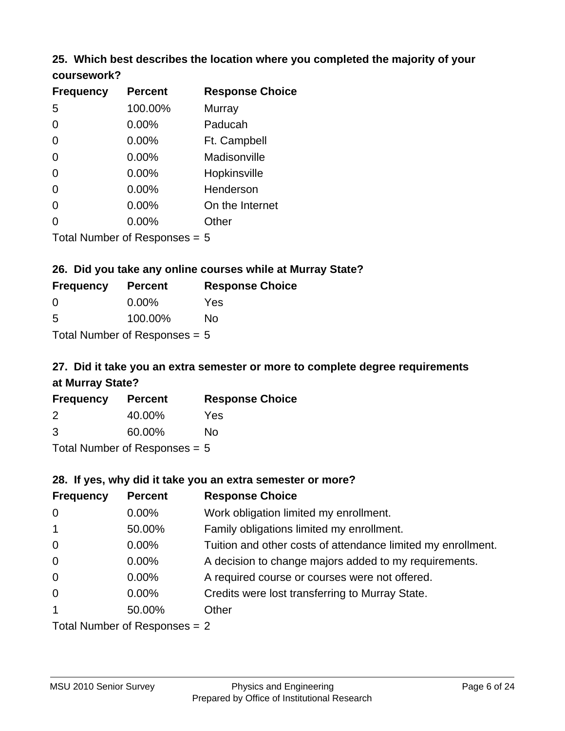#### **25. Which best describes the location where you completed the majority of your coursework?**

| <b>Frequency</b> | <b>Percent</b>             | <b>Response Choice</b> |
|------------------|----------------------------|------------------------|
| 5                | 100.00%                    | <b>Murray</b>          |
| $\overline{0}$   | 0.00%                      | Paducah                |
| $\Omega$         | 0.00%                      | Ft. Campbell           |
| $\overline{0}$   | 0.00%                      | Madisonville           |
| $\overline{0}$   | 0.00%                      | Hopkinsville           |
| 0                | 0.00%                      | Henderson              |
| $\overline{0}$   | 0.00%                      | On the Internet        |
| 0                | 0.00%                      | Other                  |
|                  | Total Number of Deepersoon |                        |

Total Number of Responses = 5

#### **26. Did you take any online courses while at Murray State?**

| <b>Frequency</b>                | <b>Percent</b> | <b>Response Choice</b> |  |
|---------------------------------|----------------|------------------------|--|
| -0                              | $0.00\%$       | Yes                    |  |
| -5                              | 100.00%        | No                     |  |
| Total Number of Responses $= 5$ |                |                        |  |

# **27. Did it take you an extra semester or more to complete degree requirements at Murray State?**

| <b>Frequency</b> | <b>Percent</b>              | <b>Response Choice</b> |
|------------------|-----------------------------|------------------------|
| 2                | 40.00%                      | Yes                    |
| 3                | 60.00%                      | No                     |
|                  | Total Number of Desponses E |                        |

Total Number of Responses = 5

#### **28. If yes, why did it take you an extra semester or more?**

| <b>Frequency</b>              | <b>Percent</b> | <b>Response Choice</b>                                       |
|-------------------------------|----------------|--------------------------------------------------------------|
| $\overline{0}$                | $0.00\%$       | Work obligation limited my enrollment.                       |
| $\overline{1}$                | 50.00%         | Family obligations limited my enrollment.                    |
| $\mathbf 0$                   | $0.00\%$       | Tuition and other costs of attendance limited my enrollment. |
| $\mathbf 0$                   | $0.00\%$       | A decision to change majors added to my requirements.        |
| $\mathbf 0$                   | $0.00\%$       | A required course or courses were not offered.               |
| $\overline{0}$                | $0.00\%$       | Credits were lost transferring to Murray State.              |
| $\mathbf{1}$                  | 50.00%         | Other                                                        |
| Total Number of Responses = 2 |                |                                                              |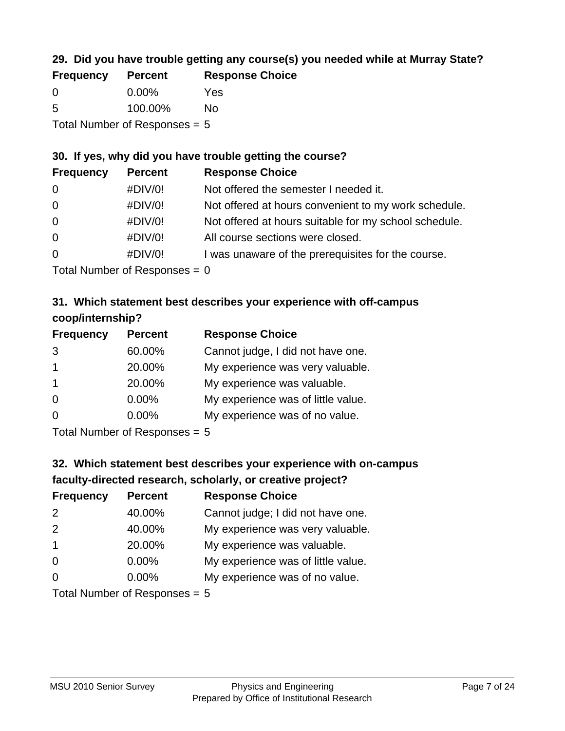## **29. Did you have trouble getting any course(s) you needed while at Murray State?**

| <b>Frequency</b>                | <b>Percent</b> | <b>Response Choice</b> |  |
|---------------------------------|----------------|------------------------|--|
| - 0                             | $0.00\%$       | Yes                    |  |
| -5                              | 100.00%        | Nο                     |  |
| Total Number of Responses $= 5$ |                |                        |  |

#### **30. If yes, why did you have trouble getting the course?**

| <b>Frequency</b> | <b>Percent</b> | <b>Response Choice</b>                                |
|------------------|----------------|-------------------------------------------------------|
| $\overline{0}$   | #DIV/0!        | Not offered the semester I needed it.                 |
| $\overline{0}$   | #DIV/0!        | Not offered at hours convenient to my work schedule.  |
| $\overline{0}$   | #DIV/0!        | Not offered at hours suitable for my school schedule. |
| $\overline{0}$   | #DIV/0!        | All course sections were closed.                      |
| $\overline{0}$   | #DIV/0!        | I was unaware of the prerequisites for the course.    |
|                  |                |                                                       |

Total Number of Responses  $= 0$ 

## **31. Which statement best describes your experience with off-campus coop/internship?**

| <b>Frequency</b>     | <b>Percent</b>                                                                     | <b>Response Choice</b>             |
|----------------------|------------------------------------------------------------------------------------|------------------------------------|
| 3                    | 60.00%                                                                             | Cannot judge, I did not have one.  |
| $\blacktriangleleft$ | 20.00%                                                                             | My experience was very valuable.   |
| $\overline{1}$       | 20.00%                                                                             | My experience was valuable.        |
| $\Omega$             | $0.00\%$                                                                           | My experience was of little value. |
| $\Omega$             | 0.00%                                                                              | My experience was of no value.     |
|                      | $T$ at all $\lambda$ become large and $\Gamma$ $\Gamma$ are a sequence of $\Gamma$ |                                    |

Total Number of Responses = 5

# **32. Which statement best describes your experience with on-campus faculty-directed research, scholarly, or creative project?**

| <b>Frequency</b> | <b>Percent</b>             | <b>Response Choice</b>             |
|------------------|----------------------------|------------------------------------|
| 2                | 40.00%                     | Cannot judge; I did not have one.  |
| 2                | 40.00%                     | My experience was very valuable.   |
| $\overline{1}$   | 20.00%                     | My experience was valuable.        |
| $\Omega$         | $0.00\%$                   | My experience was of little value. |
| $\Omega$         | 0.00%                      | My experience was of no value.     |
|                  | Total Number of Deepersoon |                                    |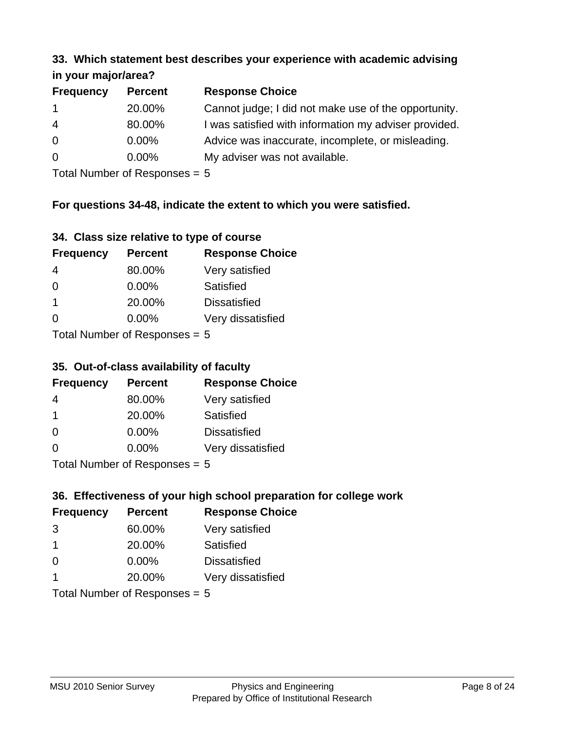#### **33. Which statement best describes your experience with academic advising in your major/area?**

| $\mathbf{u}$ yvu $\mathbf{u}$ yvu $\mathbf{v}$ |                |                                                       |
|------------------------------------------------|----------------|-------------------------------------------------------|
| <b>Frequency</b>                               | <b>Percent</b> | <b>Response Choice</b>                                |
| $\mathbf 1$                                    | 20.00%         | Cannot judge; I did not make use of the opportunity.  |
| $\overline{4}$                                 | 80.00%         | I was satisfied with information my adviser provided. |
| $\overline{0}$                                 | 0.00%          | Advice was inaccurate, incomplete, or misleading.     |
| $\overline{0}$                                 | 0.00%          | My adviser was not available.                         |
|                                                |                |                                                       |

Total Number of Responses = 5

## **For questions 34-48, indicate the extent to which you were satisfied.**

| 34. Class size relative to type of course |  |  |  |  |  |  |  |  |
|-------------------------------------------|--|--|--|--|--|--|--|--|
|-------------------------------------------|--|--|--|--|--|--|--|--|

| <b>Frequency</b>              | <b>Percent</b> | <b>Response Choice</b> |  |  |
|-------------------------------|----------------|------------------------|--|--|
| 4                             | 80.00%         | Very satisfied         |  |  |
| $\Omega$                      | $0.00\%$       | <b>Satisfied</b>       |  |  |
| -1                            | 20.00%         | <b>Dissatisfied</b>    |  |  |
| $\Omega$                      | $0.00\%$       | Very dissatisfied      |  |  |
| $Total Number of Denonce - E$ |                |                        |  |  |

 $Total$  Number of Responses  $= 5$ 

#### **35. Out-of-class availability of faculty**

| <b>Frequency</b> | <b>Percent</b>            | <b>Response Choice</b> |
|------------------|---------------------------|------------------------|
| 4                | 80.00%                    | Very satisfied         |
| $\overline{1}$   | 20.00%                    | Satisfied              |
| 0                | $0.00\%$                  | <b>Dissatisfied</b>    |
| $\Omega$         | $0.00\%$                  | Very dissatisfied      |
|                  | Total Number of Deepensee |                        |

Total Number of Responses = 5

## **36. Effectiveness of your high school preparation for college work**

| <b>Frequency</b>                       | <b>Percent</b> | <b>Response Choice</b> |  |  |
|----------------------------------------|----------------|------------------------|--|--|
| 3                                      | 60.00%         | Very satisfied         |  |  |
| -1                                     | 20.00%         | Satisfied              |  |  |
| $\Omega$                               | $0.00\%$       | <b>Dissatisfied</b>    |  |  |
|                                        | 20.00%         | Very dissatisfied      |  |  |
| $Total Number of Denonce -\frac{1}{2}$ |                |                        |  |  |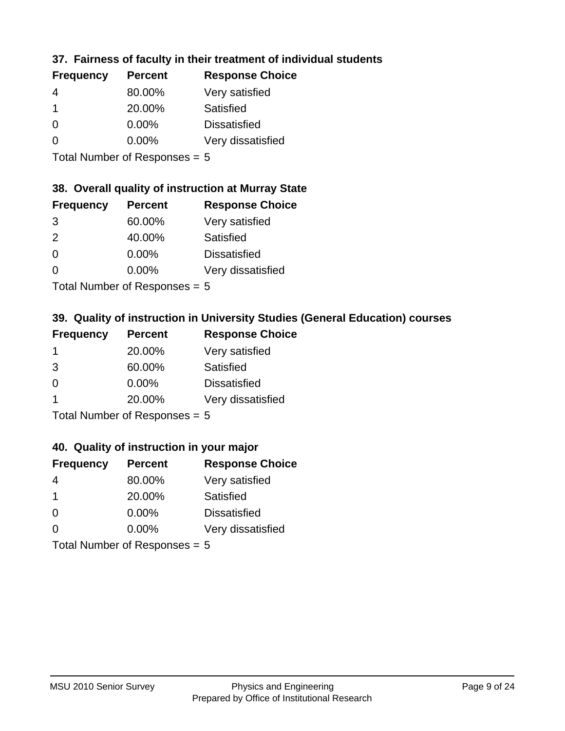## **37. Fairness of faculty in their treatment of individual students**

| <b>Frequency</b> | <b>Percent</b> | <b>Response Choice</b> |
|------------------|----------------|------------------------|
| 4                | 80.00%         | Very satisfied         |
|                  | 20.00%         | Satisfied              |
| $\Omega$         | 0.00%          | <b>Dissatisfied</b>    |
| $\Omega$         | 0.00%          | Very dissatisfied      |
|                  |                |                        |

Total Number of Responses = 5

#### **38. Overall quality of instruction at Murray State**

| <b>Frequency</b> | <b>Percent</b> | <b>Response Choice</b> |
|------------------|----------------|------------------------|
| 3                | 60.00%         | Very satisfied         |
| $\mathcal{P}$    | 40.00%         | Satisfied              |
| $\Omega$         | $0.00\%$       | <b>Dissatisfied</b>    |
| ∩                | 0.00%          | Very dissatisfied      |
|                  |                |                        |

Total Number of Responses = 5

## **39. Quality of instruction in University Studies (General Education) courses**

| <b>Frequency</b> | <b>Percent</b>                                                                                                  | <b>Response Choice</b> |
|------------------|-----------------------------------------------------------------------------------------------------------------|------------------------|
|                  | 20.00%                                                                                                          | Very satisfied         |
| 3                | 60.00%                                                                                                          | Satisfied              |
| $\Omega$         | $0.00\%$                                                                                                        | <b>Dissatisfied</b>    |
|                  | 20.00%                                                                                                          | Very dissatisfied      |
|                  | The Little and the Little Communication of the Communication of the Communication of the Communication of the U |                        |

Total Number of Responses = 5

#### **40. Quality of instruction in your major**

| <b>Frequency</b> | <b>Percent</b>            | <b>Response Choice</b> |
|------------------|---------------------------|------------------------|
| 4                | 80.00%                    | Very satisfied         |
| -1               | 20.00%                    | Satisfied              |
| $\Omega$         | $0.00\%$                  | <b>Dissatisfied</b>    |
| $\Omega$         | 0.00%                     | Very dissatisfied      |
|                  | Total Number of Deepersee |                        |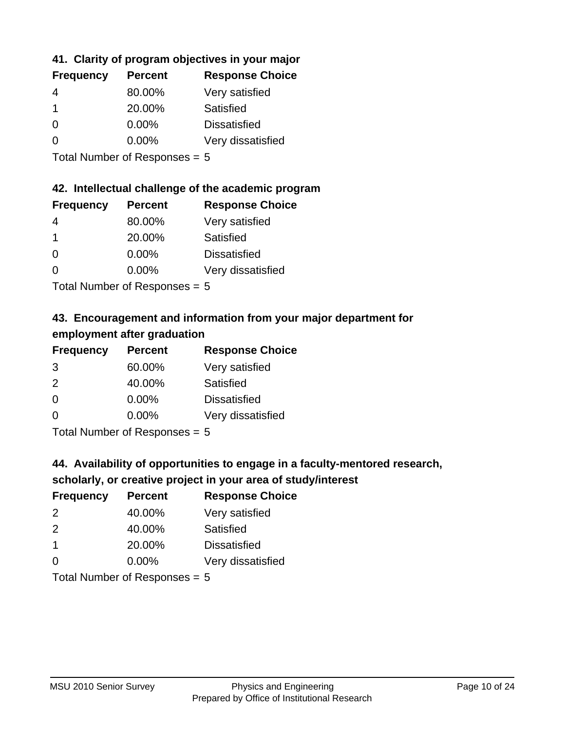## **41. Clarity of program objectives in your major**

| <b>Frequency</b> | <b>Percent</b> | <b>Response Choice</b> |
|------------------|----------------|------------------------|
|                  | 80.00%         | Very satisfied         |
| 1                | 20.00%         | Satisfied              |
| ∩                | $0.00\%$       | <b>Dissatisfied</b>    |
|                  | $0.00\%$       | Very dissatisfied      |
|                  |                |                        |

Total Number of Responses = 5

#### **42. Intellectual challenge of the academic program**

| <b>Frequency</b> | <b>Percent</b> | <b>Response Choice</b> |
|------------------|----------------|------------------------|
| 4                | 80.00%         | Very satisfied         |
|                  | 20.00%         | Satisfied              |
| $\Omega$         | 0.00%          | <b>Dissatisfied</b>    |
| $\Omega$         | 0.00%          | Very dissatisfied      |
|                  |                |                        |

Total Number of Responses = 5

## **43. Encouragement and information from your major department for employment after graduation**

| <b>Frequency</b> | <b>Percent</b>             | <b>Response Choice</b> |
|------------------|----------------------------|------------------------|
| 3                | 60.00%                     | Very satisfied         |
| 2                | 40.00%                     | Satisfied              |
| $\overline{0}$   | $0.00\%$                   | <b>Dissatisfied</b>    |
| $\Omega$         | $0.00\%$                   | Very dissatisfied      |
|                  | Tatal Number of Desperance |                        |

Total Number of Responses = 5

## **44. Availability of opportunities to engage in a faculty-mentored research,**

## **scholarly, or creative project in your area of study/interest**

| <b>Frequency</b> | <b>Percent</b> | <b>Response Choice</b> |
|------------------|----------------|------------------------|
| $\mathcal{P}$    | 40.00%         | Very satisfied         |
| $\mathcal{P}$    | 40.00%         | Satisfied              |
|                  | 20.00%         | <b>Dissatisfied</b>    |
| $\Omega$         | 0.00%          | Very dissatisfied      |
|                  |                |                        |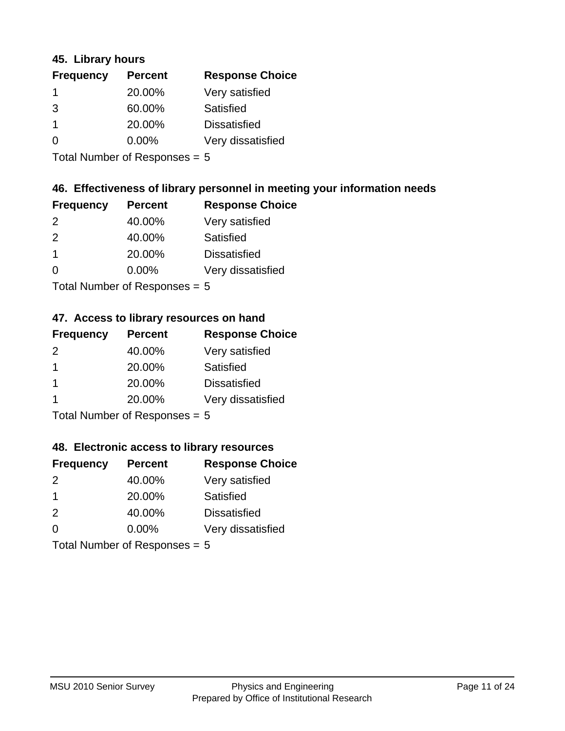#### **45. Library hours**

| <b>Frequency</b> | <b>Percent</b> | <b>Response Choice</b> |
|------------------|----------------|------------------------|
| $\mathbf 1$      | 20.00%         | Very satisfied         |
| 3                | 60.00%         | Satisfied              |
| -1               | 20.00%         | <b>Dissatisfied</b>    |
| 0                | 0.00%          | Very dissatisfied      |
|                  |                |                        |

Total Number of Responses = 5

## **46. Effectiveness of library personnel in meeting your information needs**

| <b>Frequency</b> | <b>Percent</b> | <b>Response Choice</b> |
|------------------|----------------|------------------------|
| $\mathcal{P}$    | 40.00%         | Very satisfied         |
| $\mathcal{P}$    | 40.00%         | Satisfied              |
|                  | 20.00%         | <b>Dissatisfied</b>    |
| $\Omega$         | $0.00\%$       | Very dissatisfied      |
|                  |                |                        |

Total Number of Responses = 5

#### **47. Access to library resources on hand**

| <b>Frequency</b> | <b>Percent</b>                                 | <b>Response Choice</b> |
|------------------|------------------------------------------------|------------------------|
| $\mathcal{P}$    | 40.00%                                         | Very satisfied         |
| $\overline{1}$   | 20.00%                                         | Satisfied              |
| -1               | 20.00%                                         | <b>Dissatisfied</b>    |
|                  | 20.00%                                         | Very dissatisfied      |
|                  | $T$ at all Massed and $R$ $D$ are a second $T$ |                        |

Total Number of Responses = 5

#### **48. Electronic access to library resources**

| <b>Frequency</b> | <b>Percent</b>            | <b>Response Choice</b> |
|------------------|---------------------------|------------------------|
| $\mathcal{P}$    | 40.00%                    | Very satisfied         |
| -1               | 20.00%                    | Satisfied              |
| 2                | 40.00%                    | <b>Dissatisfied</b>    |
| $\Omega$         | 0.00%                     | Very dissatisfied      |
|                  | Total Number of Deepersee |                        |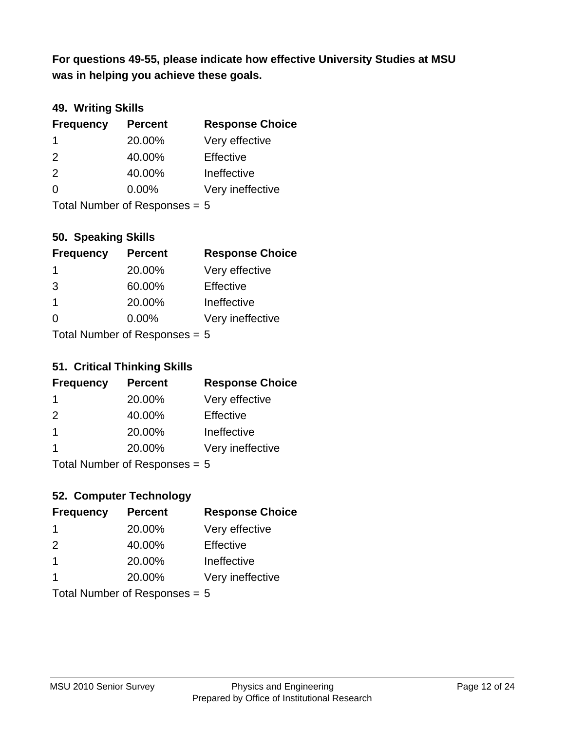**was in helping you achieve these goals. For questions 49-55, please indicate how effective University Studies at MSU** 

## **49. Writing Skills**

| <b>Frequency</b>                | <b>Percent</b> | <b>Response Choice</b> |
|---------------------------------|----------------|------------------------|
| -1                              | 20.00%         | Very effective         |
| 2                               | 40.00%         | Effective              |
| 2                               | 40.00%         | Ineffective            |
| $\Omega$                        | $0.00\%$       | Very ineffective       |
| Total Number of Responses = $5$ |                |                        |

**50. Speaking Skills**

| <b>Frequency</b> | <b>Percent</b>            | <b>Response Choice</b> |
|------------------|---------------------------|------------------------|
| -1               | 20.00%                    | Very effective         |
| 3                | 60.00%                    | Effective              |
| $\overline{1}$   | 20.00%                    | Ineffective            |
| $\Omega$         | 0.00%                     | Very ineffective       |
|                  | Total Number of Desponses |                        |

Total Number of Responses = 5

#### **51. Critical Thinking Skills**

| <b>Frequency</b> | <b>Percent</b>             | <b>Response Choice</b> |
|------------------|----------------------------|------------------------|
|                  | 20.00%                     | Very effective         |
| $\mathcal{P}$    | 40.00%                     | Effective              |
| $\mathbf 1$      | 20.00%                     | Ineffective            |
|                  | 20.00%                     | Very ineffective       |
|                  | Tatal Number of Desperance |                        |

Total Number of Responses = 5

## **52. Computer Technology**

| <b>Frequency</b>                | <b>Percent</b> | <b>Response Choice</b> |
|---------------------------------|----------------|------------------------|
| -1                              | 20.00%         | Very effective         |
| $\mathcal{P}$                   | 40.00%         | Effective              |
| $\mathbf 1$                     | 20.00%         | Ineffective            |
| -1                              | 20.00%         | Very ineffective       |
| Total Number of Responses = $5$ |                |                        |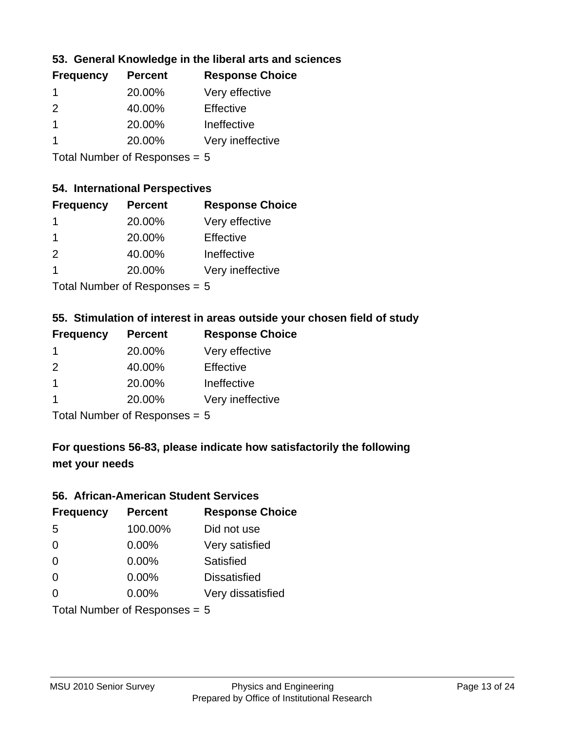## **53. General Knowledge in the liberal arts and sciences**

| <b>Frequency</b> | <b>Percent</b> | <b>Response Choice</b> |
|------------------|----------------|------------------------|
|                  | 20.00%         | Very effective         |
| $\mathcal{P}$    | 40.00%         | Effective              |
|                  | 20.00%         | Ineffective            |
|                  | 20.00%         | Very ineffective       |
|                  |                |                        |

Total Number of Responses = 5

#### **54. International Perspectives**

| <b>Frequency</b> | <b>Percent</b> | <b>Response Choice</b> |
|------------------|----------------|------------------------|
| 1                | 20.00%         | Very effective         |
| 1                | 20.00%         | Effective              |
| $\mathcal{P}$    | 40.00%         | Ineffective            |
| 1                | 20.00%         | Very ineffective       |
|                  |                |                        |

Total Number of Responses = 5

## **55. Stimulation of interest in areas outside your chosen field of study**

| <b>Frequency</b> | <b>Percent</b>             | <b>Response Choice</b> |
|------------------|----------------------------|------------------------|
|                  | 20.00%                     | Very effective         |
| $\mathcal{P}$    | 40.00%                     | Effective              |
| -1               | 20.00%                     | Ineffective            |
|                  | 20.00%                     | Very ineffective       |
|                  | Tatal Number of Desperance |                        |

Total Number of Responses = 5

## **For questions 56-83, please indicate how satisfactorily the following met your needs**

#### **56. African-American Student Services**

| <b>Frequency</b>                | <b>Percent</b> | <b>Response Choice</b> |
|---------------------------------|----------------|------------------------|
| 5                               | 100.00%        | Did not use            |
| $\Omega$                        | 0.00%          | Very satisfied         |
| $\Omega$                        | 0.00%          | Satisfied              |
| $\Omega$                        | $0.00\%$       | <b>Dissatisfied</b>    |
| $\Omega$                        | 0.00%          | Very dissatisfied      |
| Total Number of Responses = $5$ |                |                        |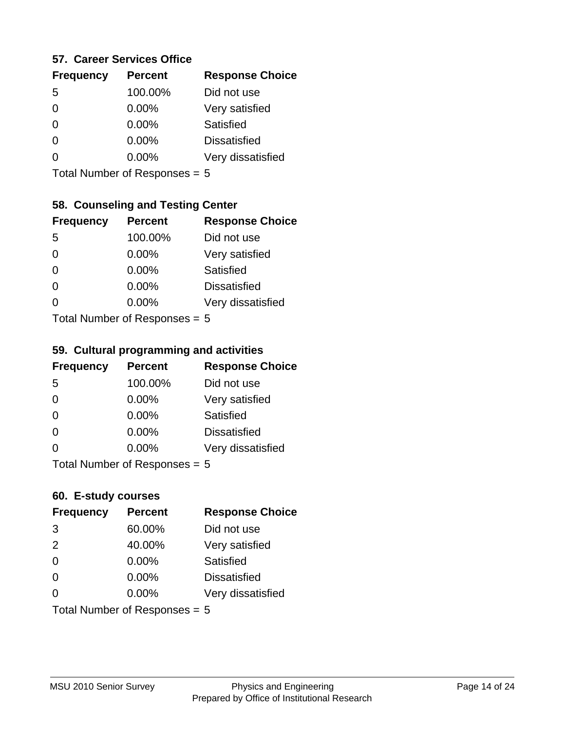#### **57. Career Services Office**

| <b>Frequency</b> | <b>Percent</b> | <b>Response Choice</b> |
|------------------|----------------|------------------------|
| .5               | 100.00%        | Did not use            |
| 0                | 0.00%          | Very satisfied         |
| 0                | 0.00%          | Satisfied              |
| 0                | 0.00%          | <b>Dissatisfied</b>    |
|                  | 0.00%          | Very dissatisfied      |
|                  |                |                        |

Total Number of Responses = 5

#### **58. Counseling and Testing Center**

| <b>Frequency</b> | <b>Percent</b>            | <b>Response Choice</b> |
|------------------|---------------------------|------------------------|
| 5                | 100.00%                   | Did not use            |
| 0                | $0.00\%$                  | Very satisfied         |
| $\Omega$         | 0.00%                     | Satisfied              |
| $\Omega$         | 0.00%                     | <b>Dissatisfied</b>    |
| 0                | $0.00\%$                  | Very dissatisfied      |
|                  | Total Number of Despasses |                        |

Total Number of Responses = 5

#### **59. Cultural programming and activities**

| <b>Frequency</b> | <b>Percent</b>            | <b>Response Choice</b> |
|------------------|---------------------------|------------------------|
| 5                | 100.00%                   | Did not use            |
| $\Omega$         | $0.00\%$                  | Very satisfied         |
| $\Omega$         | $0.00\%$                  | Satisfied              |
| $\Omega$         | 0.00%                     | <b>Dissatisfied</b>    |
| $\Omega$         | $0.00\%$                  | Very dissatisfied      |
|                  | Total Number of DoEROR 0. |                        |

I otal Number of Responses  $= 5$ 

#### **60. E-study courses**

| <b>Frequency</b> | <b>Percent</b>                  | <b>Response Choice</b> |
|------------------|---------------------------------|------------------------|
| 3                | 60.00%                          | Did not use            |
| 2                | 40.00%                          | Very satisfied         |
| $\Omega$         | 0.00%                           | Satisfied              |
| $\Omega$         | $0.00\%$                        | <b>Dissatisfied</b>    |
| $\Omega$         | 0.00%                           | Very dissatisfied      |
|                  | Total Number of Responses $= 5$ |                        |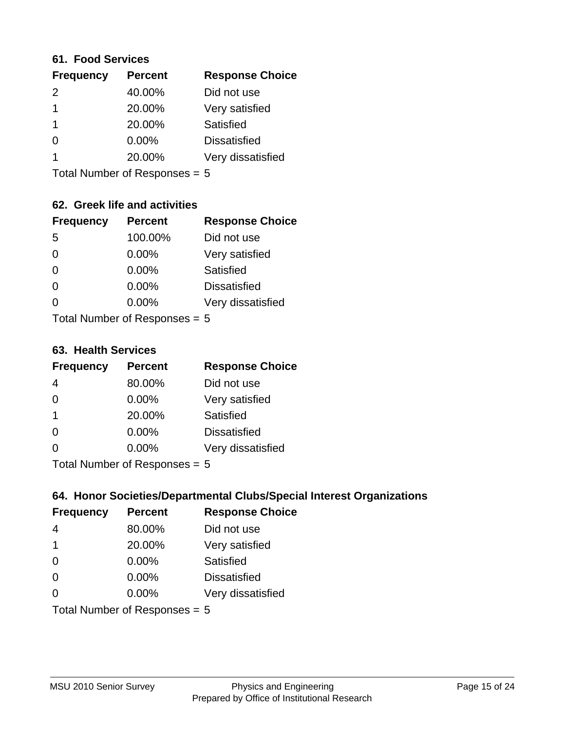#### **61. Food Services**

| <b>Frequency</b> | <b>Percent</b> | <b>Response Choice</b> |
|------------------|----------------|------------------------|
| $\mathcal{P}$    | 40.00%         | Did not use            |
|                  | 20.00%         | Very satisfied         |
|                  | 20.00%         | Satisfied              |
| 0                | $0.00\%$       | <b>Dissatisfied</b>    |
|                  | 20.00%         | Very dissatisfied      |
|                  |                |                        |

Total Number of Responses = 5

#### **62. Greek life and activities**

| <b>Frequency</b> | <b>Percent</b>                         | <b>Response Choice</b> |
|------------------|----------------------------------------|------------------------|
| -5               | 100.00%                                | Did not use            |
| $\Omega$         | 0.00%                                  | Very satisfied         |
| $\Omega$         | 0.00%                                  | Satisfied              |
| $\Omega$         | 0.00%                                  | <b>Dissatisfied</b>    |
| 0                | 0.00%                                  | Very dissatisfied      |
|                  | $Total Number of Denonce -\frac{1}{2}$ |                        |

I otal Number of Responses = 5

#### **63. Health Services**

| <b>Frequency</b> | <b>Percent</b>             | <b>Response Choice</b> |
|------------------|----------------------------|------------------------|
| 4                | 80.00%                     | Did not use            |
| $\Omega$         | 0.00%                      | Very satisfied         |
| $\mathbf 1$      | 20.00%                     | Satisfied              |
| $\Omega$         | 0.00%                      | <b>Dissatisfied</b>    |
| $\Omega$         | $0.00\%$                   | Very dissatisfied      |
|                  | Total Number of Deepersoon |                        |

Total Number of Responses = 5

#### **64. Honor Societies/Departmental Clubs/Special Interest Organizations**

| <b>Frequency</b>              | <b>Percent</b> | <b>Response Choice</b> |
|-------------------------------|----------------|------------------------|
| 4                             | 80.00%         | Did not use            |
| $\overline{1}$                | 20.00%         | Very satisfied         |
| $\Omega$                      | 0.00%          | Satisfied              |
| $\Omega$                      | 0.00%          | <b>Dissatisfied</b>    |
| $\Omega$                      | 0.00%          | Very dissatisfied      |
| Total Number of Responses = 5 |                |                        |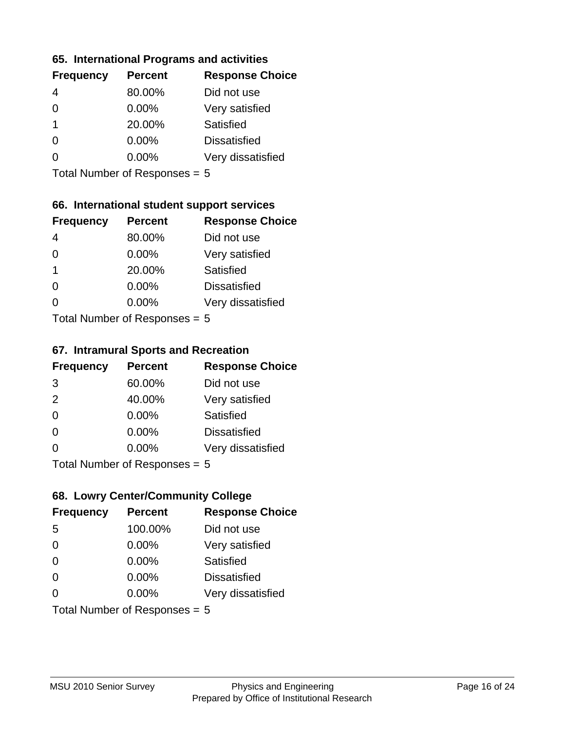#### **65. International Programs and activities**

| <b>Frequency</b> | <b>Percent</b> | <b>Response Choice</b> |
|------------------|----------------|------------------------|
|                  | 80.00%         | Did not use            |
| 0                | $0.00\%$       | Very satisfied         |
| 1                | 20.00%         | Satisfied              |
|                  | $0.00\%$       | <b>Dissatisfied</b>    |
|                  | $0.00\%$       | Very dissatisfied      |
|                  |                |                        |

Total Number of Responses = 5

## **66. International student support services**

| <b>Frequency</b>          | <b>Percent</b> | <b>Response Choice</b> |
|---------------------------|----------------|------------------------|
|                           | 80.00%         | Did not use            |
| 0                         | $0.00\%$       | Very satisfied         |
| 1                         | 20.00%         | <b>Satisfied</b>       |
| 0                         | $0.00\%$       | <b>Dissatisfied</b>    |
| $\Omega$                  | 0.00%          | Very dissatisfied      |
| Total Number of Desponses |                |                        |

Total Number of Responses = 5

#### **67. Intramural Sports and Recreation**

| <b>Frequency</b> | <b>Percent</b>                  | <b>Response Choice</b> |
|------------------|---------------------------------|------------------------|
| 3                | 60.00%                          | Did not use            |
| 2                | 40.00%                          | Very satisfied         |
| $\Omega$         | $0.00\%$                        | Satisfied              |
| $\Omega$         | 0.00%                           | <b>Dissatisfied</b>    |
| $\Omega$         | $0.00\%$                        | Very dissatisfied      |
|                  | $Total$ Number of Despasses $-$ |                        |

Total Number of Responses = 5

## **68. Lowry Center/Community College**

| <b>Frequency</b>              | <b>Percent</b> | <b>Response Choice</b> |
|-------------------------------|----------------|------------------------|
| -5                            | 100.00%        | Did not use            |
| $\Omega$                      | 0.00%          | Very satisfied         |
| $\Omega$                      | 0.00%          | Satisfied              |
| $\Omega$                      | 0.00%          | <b>Dissatisfied</b>    |
| 0                             | 0.00%          | Very dissatisfied      |
| Total Number of Responses = 5 |                |                        |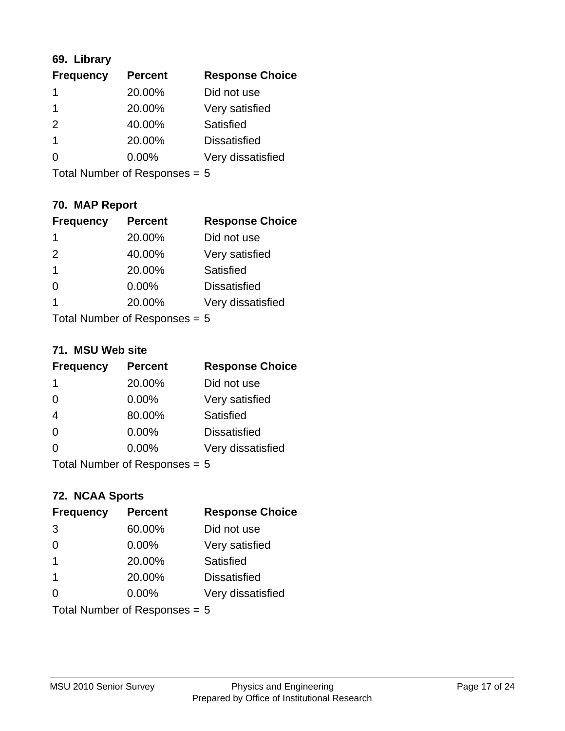## **69. Library**

| <b>Frequency</b>     | <b>Percent</b> | <b>Response Choice</b> |
|----------------------|----------------|------------------------|
| 1                    | 20.00%         | Did not use            |
| 1                    | 20.00%         | Very satisfied         |
| $\mathcal{P}$        | 40.00%         | <b>Satisfied</b>       |
| $\blacktriangleleft$ | 20.00%         | <b>Dissatisfied</b>    |
| 0                    | $0.00\%$       | Very dissatisfied      |
|                      |                |                        |

Total Number of Responses = 5

## **70. MAP Report**

| <b>Frequency</b>                | <b>Percent</b> | <b>Response Choice</b> |
|---------------------------------|----------------|------------------------|
| 1                               | 20.00%         | Did not use            |
| 2                               | 40.00%         | Very satisfied         |
| $\mathbf{1}$                    | 20.00%         | Satisfied              |
| $\Omega$                        | 0.00%          | <b>Dissatisfied</b>    |
| 1                               | 20.00%         | Very dissatisfied      |
| Total Number of Responses = $5$ |                |                        |

#### **71. MSU Web site**

| <b>Frequency</b>                | <b>Percent</b> | <b>Response Choice</b> |
|---------------------------------|----------------|------------------------|
| -1                              | 20.00%         | Did not use            |
| $\Omega$                        | 0.00%          | Very satisfied         |
| $\overline{4}$                  | 80.00%         | Satisfied              |
| $\Omega$                        | 0.00%          | <b>Dissatisfied</b>    |
| ∩                               | 0.00%          | Very dissatisfied      |
| Total Number of Responses = $5$ |                |                        |

## **72. NCAA Sports**

| <b>Frequency</b>                | <b>Percent</b> | <b>Response Choice</b> |
|---------------------------------|----------------|------------------------|
| 3                               | 60.00%         | Did not use            |
| $\Omega$                        | 0.00%          | Very satisfied         |
| $\overline{1}$                  | 20.00%         | Satisfied              |
| -1                              | 20.00%         | <b>Dissatisfied</b>    |
| ∩                               | $0.00\%$       | Very dissatisfied      |
| Total Number of Responses = $5$ |                |                        |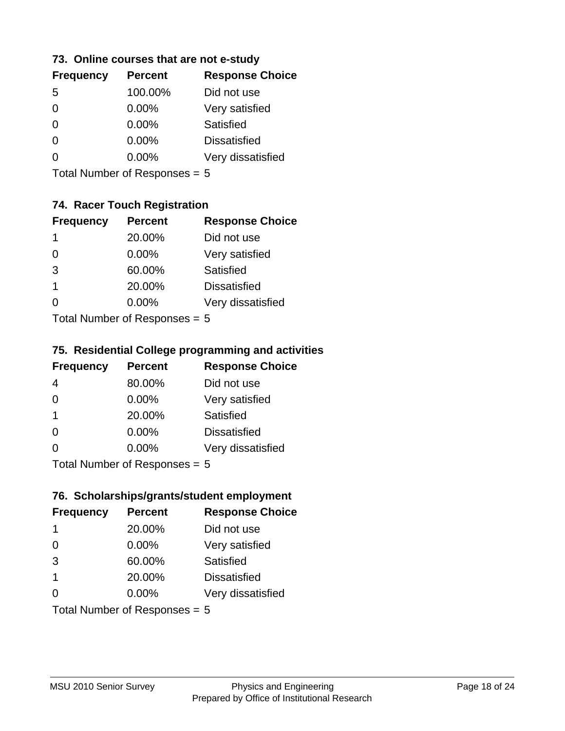#### **73. Online courses that are not e-study**

| <b>Percent</b> | <b>Response Choice</b> |
|----------------|------------------------|
| 100.00%        | Did not use            |
| 0.00%          | Very satisfied         |
| $0.00\%$       | Satisfied              |
| $0.00\%$       | <b>Dissatisfied</b>    |
| $0.00\%$       | Very dissatisfied      |
|                |                        |

Total Number of Responses = 5

## **74. Racer Touch Registration**

| <b>Frequency</b> | <b>Percent</b>            | <b>Response Choice</b> |
|------------------|---------------------------|------------------------|
| 1                | 20.00%                    | Did not use            |
| $\Omega$         | 0.00%                     | Very satisfied         |
| 3                | 60.00%                    | <b>Satisfied</b>       |
| 1                | 20.00%                    | <b>Dissatisfied</b>    |
| O                | 0.00%                     | Very dissatisfied      |
|                  | Tatal Number of Despenses |                        |

Total Number of Responses = 5

#### **75. Residential College programming and activities**

| <b>Frequency</b> | <b>Percent</b>              | <b>Response Choice</b> |
|------------------|-----------------------------|------------------------|
| 4                | 80.00%                      | Did not use            |
| $\Omega$         | $0.00\%$                    | Very satisfied         |
| $\overline{1}$   | 20.00%                      | Satisfied              |
| $\Omega$         | 0.00%                       | <b>Dissatisfied</b>    |
| $\Omega$         | 0.00%                       | Very dissatisfied      |
|                  | Total Number of Despanses E |                        |

Total Number of Responses = 5

## **76. Scholarships/grants/student employment**

| <b>Frequency</b>              | <b>Percent</b> | <b>Response Choice</b> |
|-------------------------------|----------------|------------------------|
| 1                             | 20.00%         | Did not use            |
| $\Omega$                      | 0.00%          | Very satisfied         |
| 3                             | 60.00%         | Satisfied              |
| $\mathbf{1}$                  | 20.00%         | <b>Dissatisfied</b>    |
| 0                             | 0.00%          | Very dissatisfied      |
| Total Number of Responses = 5 |                |                        |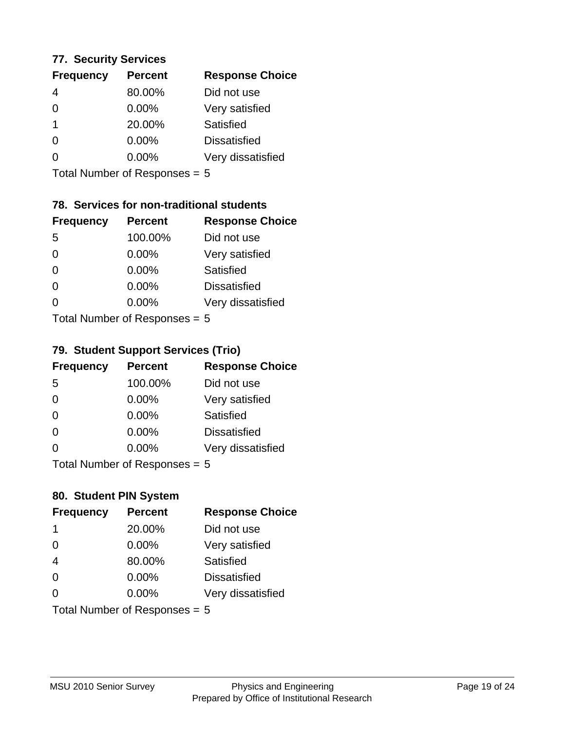#### **77. Security Services**

| <b>Frequency</b> | <b>Percent</b> | <b>Response Choice</b> |
|------------------|----------------|------------------------|
| 4                | 80.00%         | Did not use            |
| 0                | 0.00%          | Very satisfied         |
|                  | 20.00%         | Satisfied              |
| 0                | $0.00\%$       | <b>Dissatisfied</b>    |
|                  | $0.00\%$       | Very dissatisfied      |
|                  |                |                        |

Total Number of Responses = 5

## **78. Services for non-traditional students**

| <b>Frequency</b> | <b>Percent</b>            | <b>Response Choice</b> |
|------------------|---------------------------|------------------------|
| -5               | 100.00%                   | Did not use            |
| $\Omega$         | 0.00%                     | Very satisfied         |
| $\Omega$         | 0.00%                     | Satisfied              |
| $\Omega$         | 0.00%                     | <b>Dissatisfied</b>    |
| $\Omega$         | 0.00%                     | Very dissatisfied      |
|                  | Total Number of Desponses |                        |

Total Number of Responses = 5

## **79. Student Support Services (Trio)**

| <b>Frequency</b> | <b>Percent</b>              | <b>Response Choice</b> |
|------------------|-----------------------------|------------------------|
| 5                | 100.00%                     | Did not use            |
| $\Omega$         | 0.00%                       | Very satisfied         |
| $\Omega$         | 0.00%                       | Satisfied              |
| $\Omega$         | 0.00%                       | <b>Dissatisfied</b>    |
| $\Omega$         | 0.00%                       | Very dissatisfied      |
|                  | Total Number of Despanses E |                        |

Total Number of Responses = 5

#### **80. Student PIN System**

| <b>Frequency</b> | <b>Percent</b>                | <b>Response Choice</b> |
|------------------|-------------------------------|------------------------|
| -1               | 20.00%                        | Did not use            |
| $\Omega$         | 0.00%                         | Very satisfied         |
| $\overline{4}$   | 80.00%                        | Satisfied              |
| $\Omega$         | $0.00\%$                      | <b>Dissatisfied</b>    |
| $\Omega$         | 0.00%                         | Very dissatisfied      |
|                  | Total Number of Responses = 5 |                        |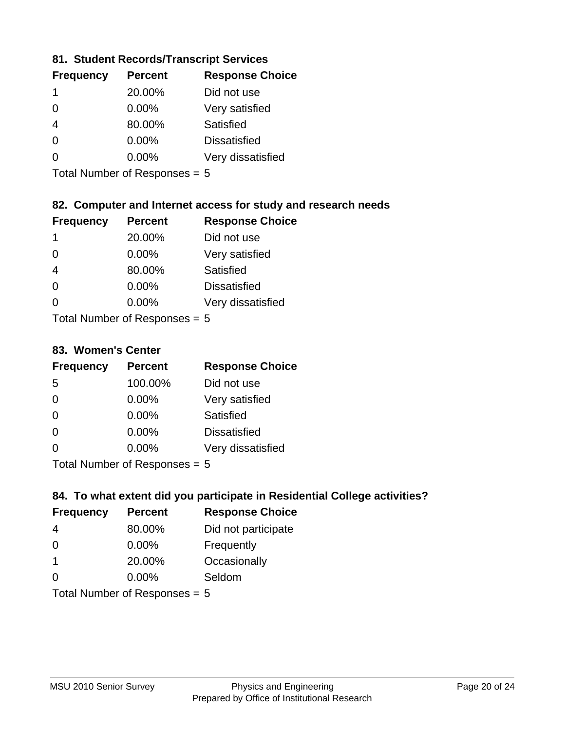## **81. Student Records/Transcript Services**

| <b>Percent</b> | <b>Response Choice</b> |
|----------------|------------------------|
| 20.00%         | Did not use            |
| $0.00\%$       | Very satisfied         |
| 80.00%         | Satisfied              |
| 0.00%          | <b>Dissatisfied</b>    |
| $0.00\%$       | Very dissatisfied      |
|                |                        |

Total Number of Responses = 5

## **82. Computer and Internet access for study and research needs**

| <b>Frequency</b> | <b>Percent</b>                                                                                                                                                                                                                 | <b>Response Choice</b> |
|------------------|--------------------------------------------------------------------------------------------------------------------------------------------------------------------------------------------------------------------------------|------------------------|
| 1                | 20.00%                                                                                                                                                                                                                         | Did not use            |
| $\Omega$         | 0.00%                                                                                                                                                                                                                          | Very satisfied         |
| $\overline{4}$   | 80.00%                                                                                                                                                                                                                         | Satisfied              |
| $\Omega$         | 0.00%                                                                                                                                                                                                                          | <b>Dissatisfied</b>    |
| $\Omega$         | 0.00%                                                                                                                                                                                                                          | Very dissatisfied      |
|                  | The HI district the contract of the contract of the contract of the contract of the contract of the contract of the contract of the contract of the contract of the contract of the contract of the contract of the contract o |                        |

Total Number of Responses = 5

#### **83. Women's Center**

| <b>Frequency</b> | <b>Percent</b>             | <b>Response Choice</b> |
|------------------|----------------------------|------------------------|
| 5                | 100.00%                    | Did not use            |
| $\Omega$         | $0.00\%$                   | Very satisfied         |
| $\Omega$         | $0.00\%$                   | Satisfied              |
| $\Omega$         | 0.00%                      | <b>Dissatisfied</b>    |
| $\Omega$         | 0.00%                      | Very dissatisfied      |
|                  | Total Number of Deepersoon |                        |

Total Number of Responses = 5

#### **84. To what extent did you participate in Residential College activities?**

| <b>Frequency</b>                | <b>Percent</b> | <b>Response Choice</b> |
|---------------------------------|----------------|------------------------|
| 4                               | 80.00%         | Did not participate    |
| $\Omega$                        | 0.00%          | Frequently             |
| $\mathbf 1$                     | 20.00%         | Occasionally           |
| $\Omega$                        | 0.00%          | Seldom                 |
| Total Number of Responses = $5$ |                |                        |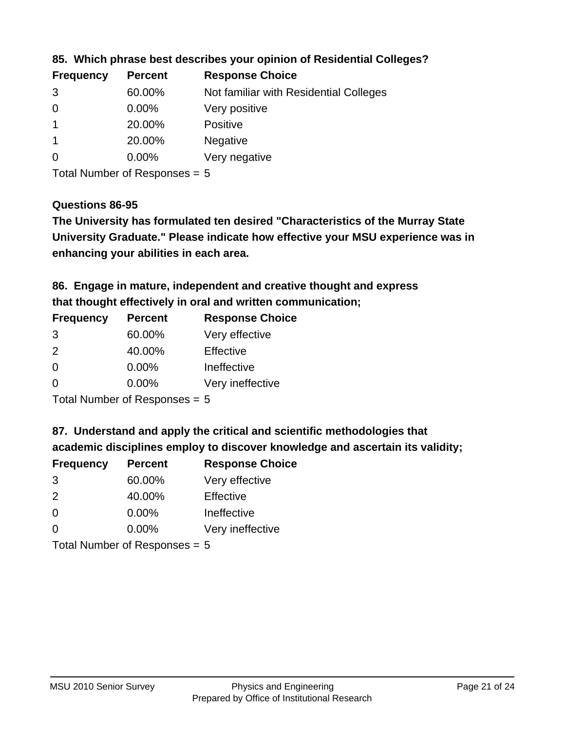| <b>Frequency</b> | <b>Percent</b> | <b>Response Choice</b>                 |
|------------------|----------------|----------------------------------------|
| 3                | 60.00%         | Not familiar with Residential Colleges |
| $\overline{0}$   | $0.00\%$       | Very positive                          |
|                  | 20.00%         | <b>Positive</b>                        |
|                  | 20.00%         | <b>Negative</b>                        |
| 0                | $0.00\%$       | Very negative                          |
|                  |                |                                        |

#### **85. Which phrase best describes your opinion of Residential Colleges?**

Total Number of Responses = 5

#### **Questions 86-95**

**University Graduate." Please indicate how effective your MSU experience was in The University has formulated ten desired "Characteristics of the Murray State enhancing your abilities in each area.**

**86. Engage in mature, independent and creative thought and express that thought effectively in oral and written communication;**

| <b>Percent</b> | <b>Response Choice</b> |
|----------------|------------------------|
| 60.00%         | Very effective         |
| 40.00%         | Effective              |
| $0.00\%$       | Ineffective            |
| 0.00%          | Very ineffective       |
|                |                        |

Total Number of Responses = 5

**87. Understand and apply the critical and scientific methodologies that** 

**academic disciplines employ to discover knowledge and ascertain its validity;**

| <b>Frequency</b> | <b>Percent</b> | <b>Response Choice</b> |
|------------------|----------------|------------------------|
| 3                | 60.00%         | Very effective         |
| 2                | 40.00%         | Effective              |
| $\Omega$         | 0.00%          | Ineffective            |
| $\Omega$         | 0.00%          | Very ineffective       |
|                  |                |                        |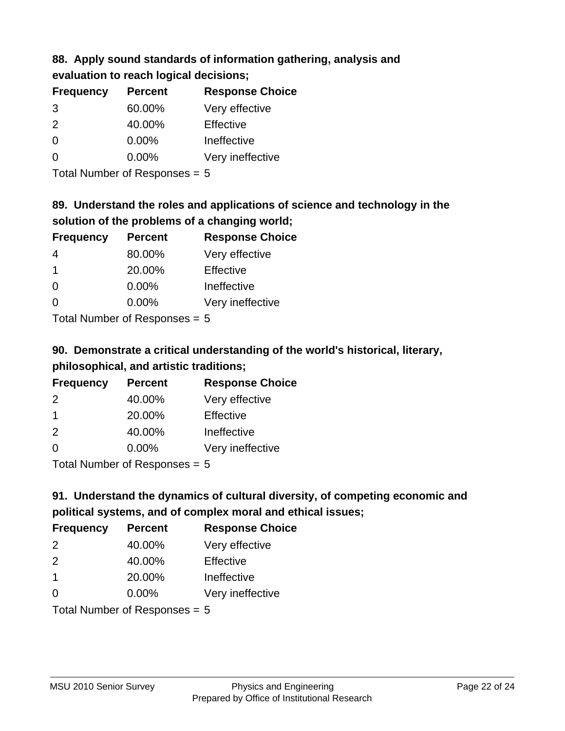# **88. Apply sound standards of information gathering, analysis and**

| evaluation to reach logical decisions; |  |
|----------------------------------------|--|
|----------------------------------------|--|

| <b>Frequency</b> | <b>Percent</b> | <b>Response Choice</b> |
|------------------|----------------|------------------------|
| 3                | 60.00%         | Very effective         |
| $\mathcal{P}$    | 40.00%         | Effective              |
| $\Omega$         | $0.00\%$       | Ineffective            |
| $\Omega$         | $0.00\%$       | Very ineffective       |

Total Number of Responses = 5

# **89. Understand the roles and applications of science and technology in the solution of the problems of a changing world;**

| <b>Frequency</b> | <b>Percent</b> | <b>Response Choice</b> |
|------------------|----------------|------------------------|
| 4                | 80.00%         | Very effective         |
| $\mathbf 1$      | 20.00%         | Effective              |
| $\Omega$         | 0.00%          | Ineffective            |
| $\Omega$         | 0.00%          | Very ineffective       |
|                  |                |                        |

Total Number of Responses = 5

# **90. Demonstrate a critical understanding of the world's historical, literary, philosophical, and artistic traditions;**

| <b>Frequency</b> | <b>Percent</b> | <b>Response Choice</b> |
|------------------|----------------|------------------------|
| $\mathcal{P}$    | 40.00%         | Very effective         |
| $\mathbf 1$      | 20.00%         | Effective              |
| 2                | 40.00%         | Ineffective            |
| $\Omega$         | 0.00%          | Very ineffective       |
|                  |                |                        |

Total Number of Responses = 5

# **91. Understand the dynamics of cultural diversity, of competing economic and political systems, and of complex moral and ethical issues;**

| <b>Frequency</b> | <b>Percent</b>                  | <b>Response Choice</b> |
|------------------|---------------------------------|------------------------|
| 2                | 40.00%                          | Very effective         |
| 2                | 40.00%                          | Effective              |
| $\overline{1}$   | 20.00%                          | Ineffective            |
| $\Omega$         | $0.00\%$                        | Very ineffective       |
|                  | Total Number of Responses = $5$ |                        |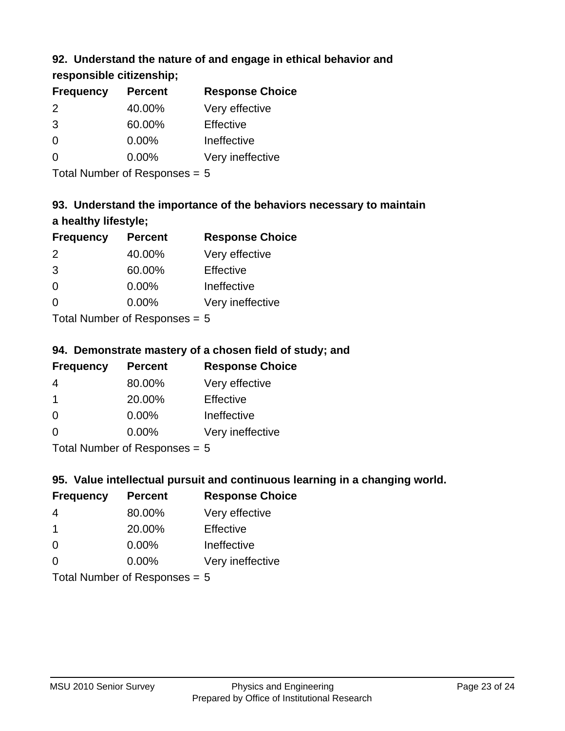## **92. Understand the nature of and engage in ethical behavior and**

## **responsible citizenship;**

| <b>Frequency</b> | <b>Percent</b> | <b>Response Choice</b> |
|------------------|----------------|------------------------|
| 2                | 40.00%         | Very effective         |
| 3                | 60.00%         | Effective              |
| O                | 0.00%          | Ineffective            |
|                  | $0.00\%$       | Very ineffective       |
|                  |                |                        |

Total Number of Responses = 5

# **93. Understand the importance of the behaviors necessary to maintain a healthy lifestyle;**

| <b>Frequency</b> | <b>Percent</b> | <b>Response Choice</b> |
|------------------|----------------|------------------------|
| 2                | 40.00%         | Very effective         |
| 3                | 60.00%         | Effective              |
| $\Omega$         | $0.00\%$       | Ineffective            |
| ∩                | 0.00%          | Very ineffective       |
|                  |                |                        |

Total Number of Responses = 5

## **94. Demonstrate mastery of a chosen field of study; and**

| <b>Frequency</b> | <b>Percent</b> | <b>Response Choice</b> |
|------------------|----------------|------------------------|
| 4                | 80.00%         | Very effective         |
|                  | 20.00%         | Effective              |
| $\Omega$         | $0.00\%$       | Ineffective            |
| ∩                | $0.00\%$       | Very ineffective       |
|                  |                |                        |

Total Number of Responses = 5

## **95. Value intellectual pursuit and continuous learning in a changing world.**

| <b>Frequency</b> | <b>Percent</b> | <b>Response Choice</b> |
|------------------|----------------|------------------------|
| 4                | 80.00%         | Very effective         |
| 1                | 20.00%         | Effective              |
| $\Omega$         | 0.00%          | Ineffective            |
| 0                | 0.00%          | Very ineffective       |
|                  |                |                        |